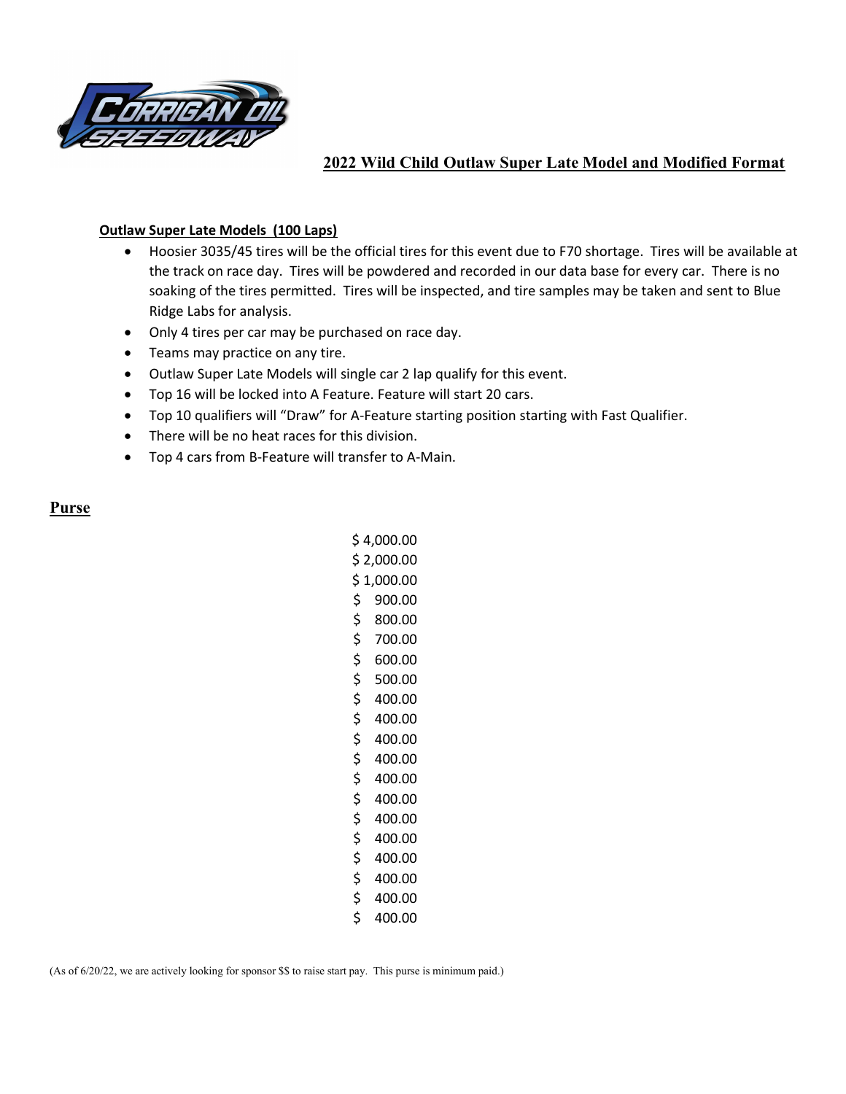

## 2022 Wild Child Outlaw Super Late Model and Modified Format

#### Outlaw Super Late Models (100 Laps)

- Hoosier 3035/45 tires will be the official tires for this event due to F70 shortage. Tires will be available at the track on race day. Tires will be powdered and recorded in our data base for every car. There is no soaking of the tires permitted. Tires will be inspected, and tire samples may be taken and sent to Blue Ridge Labs for analysis.
- Only 4 tires per car may be purchased on race day.
- Teams may practice on any tire.
- Outlaw Super Late Models will single car 2 lap qualify for this event.
- Top 16 will be locked into A Feature. Feature will start 20 cars.
- Top 10 qualifiers will "Draw" for A-Feature starting position starting with Fast Qualifier.
- There will be no heat races for this division.
- Top 4 cars from B-Feature will transfer to A-Main.

#### Purse

| \$ 4,000.00  |  |
|--------------|--|
| \$ 2,000.00  |  |
| \$1,000.00   |  |
| \$900.00     |  |
| \$ 800.00    |  |
| \$700.00     |  |
| \$600.00     |  |
| \$500.00     |  |
| \$400.00     |  |
| \$<br>400.00 |  |
| \$<br>400.00 |  |
| \$<br>400.00 |  |
| \$<br>400.00 |  |
| \$<br>400.00 |  |
| \$<br>400.00 |  |
| \$<br>400.00 |  |
| \$<br>400.00 |  |
| \$<br>400.00 |  |
| \$<br>400.00 |  |
| \$<br>400.00 |  |